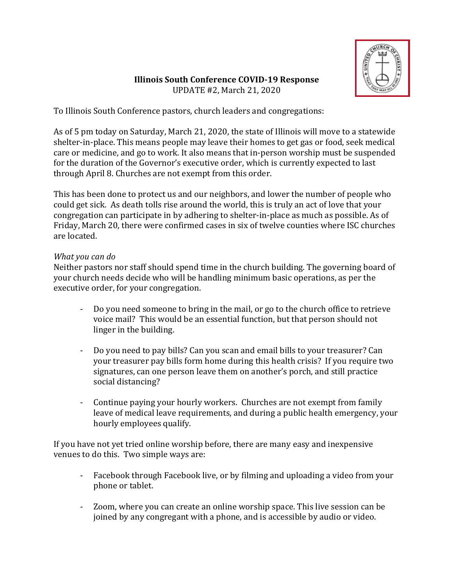

# **Illinois South Conference COVID-19 Response** UPDATE #2, March 21, 2020

To Illinois South Conference pastors, church leaders and congregations:

As of 5 pm today on Saturday, March 21, 2020, the state of Illinois will move to a statewide shelter-in-place. This means people may leave their homes to get gas or food, seek medical care or medicine, and go to work. It also means that in-person worship must be suspended for the duration of the Governor's executive order, which is currently expected to last through April 8. Churches are not exempt from this order.

This has been done to protect us and our neighbors, and lower the number of people who could get sick. As death tolls rise around the world, this is truly an act of love that your congregation can participate in by adhering to shelter-in-place as much as possible. As of Friday, March 20, there were confirmed cases in six of twelve counties where ISC churches are located.

# *What* you can do

Neither pastors nor staff should spend time in the church building. The governing board of your church needs decide who will be handling minimum basic operations, as per the executive order, for your congregation.

- Do you need someone to bring in the mail, or go to the church office to retrieve voice mail? This would be an essential function, but that person should not linger in the building.
- Do you need to pay bills? Can you scan and email bills to your treasurer? Can your treasurer pay bills form home during this health crisis? If you require two signatures, can one person leave them on another's porch, and still practice social distancing?
- Continue paying your hourly workers. Churches are not exempt from family leave of medical leave requirements, and during a public health emergency, your hourly employees qualify.

If you have not yet tried online worship before, there are many easy and inexpensive venues to do this. Two simple ways are:

- Facebook through Facebook live, or by filming and uploading a video from your phone or tablet.
- Zoom, where you can create an online worship space. This live session can be joined by any congregant with a phone, and is accessible by audio or video.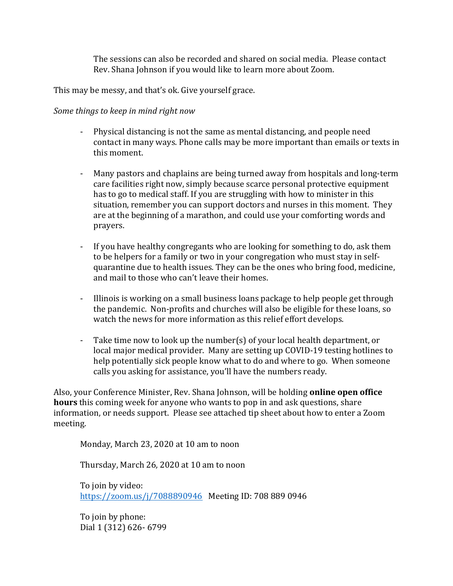The sessions can also be recorded and shared on social media. Please contact Rev. Shana Johnson if you would like to learn more about Zoom.

This may be messy, and that's ok. Give yourself grace.

## *Some things to keep in mind right now*

- Physical distancing is not the same as mental distancing, and people need contact in many ways. Phone calls may be more important than emails or texts in this moment.
- Many pastors and chaplains are being turned away from hospitals and long-term care facilities right now, simply because scarce personal protective equipment has to go to medical staff. If you are struggling with how to minister in this situation, remember you can support doctors and nurses in this moment. They are at the beginning of a marathon, and could use your comforting words and prayers.
- If you have healthy congregants who are looking for something to do, ask them to be helpers for a family or two in your congregation who must stay in selfquarantine due to health issues. They can be the ones who bring food, medicine, and mail to those who can't leave their homes.
- Illinois is working on a small business loans package to help people get through the pandemic. Non-profits and churches will also be eligible for these loans, so watch the news for more information as this relief effort develops.
- Take time now to look up the number(s) of your local health department, or local major medical provider. Many are setting up COVID-19 testing hotlines to help potentially sick people know what to do and where to go. When someone calls you asking for assistance, you'll have the numbers ready.

Also, your Conference Minister, Rev. Shana Johnson, will be holding **online open office hours** this coming week for anyone who wants to pop in and ask questions, share information, or needs support. Please see attached tip sheet about how to enter a Zoom meeting.

Monday, March 23, 2020 at 10 am to noon

Thursday, March 26, 2020 at 10 am to noon

To join by video: https://zoom.us/j/7088890946 Meeting ID: 708 889 0946

To join by phone: Dial 1 (312) 626- 6799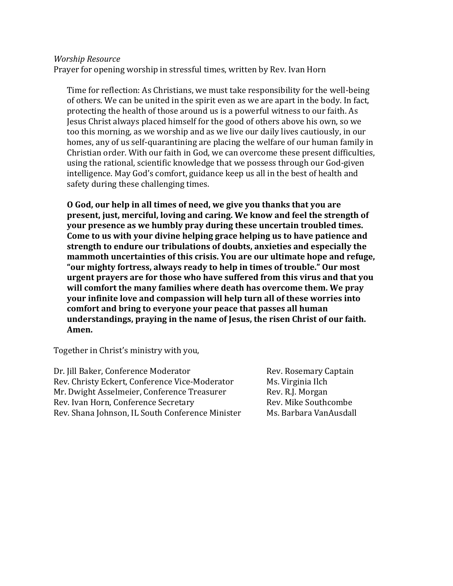#### *Worship Resource*

Prayer for opening worship in stressful times, written by Rev. Ivan Horn

Time for reflection: As Christians, we must take responsibility for the well-being of others. We can be united in the spirit even as we are apart in the body. In fact, protecting the health of those around us is a powerful witness to our faith. As Jesus Christ always placed himself for the good of others above his own, so we too this morning, as we worship and as we live our daily lives cautiously, in our homes, any of us self-quarantining are placing the welfare of our human family in Christian order. With our faith in God, we can overcome these present difficulties, using the rational, scientific knowledge that we possess through our God-given intelligence. May God's comfort, guidance keep us all in the best of health and safety during these challenging times.

**O** God, our help in all times of need, we give you thanks that you are **present, just, merciful, loving and caring. We know and feel the strength of your presence as we humbly pray during these uncertain troubled times.** Come to us with your divine helping grace helping us to have patience and strength to endure our tribulations of doubts, anxieties and especially the mammoth uncertainties of this crisis. You are our ultimate hope and refuge, "our mighty fortress, always ready to help in times of trouble." Our most urgent prayers are for those who have suffered from this virus and that you will comfort the many families where death has overcome them. We pray **your infinite love and compassion will help turn all of these worries into** comfort and bring to everyone your peace that passes all human understandings, praying in the name of Jesus, the risen Christ of our faith. Amen.

Together in Christ's ministry with you,

Dr. Jill Baker, Conference Moderator **Rev. Rosemary Captain** Rev. Christy Eckert, Conference Vice-Moderator Ms. Virginia Ilch Mr. Dwight Asselmeier, Conference Treasurer Rev. R.J. Morgan Rev. Ivan Horn, Conference Secretary Rev. Mike Southcombe Rev. Shana Johnson, IL South Conference Minister Ms. Barbara VanAusdall